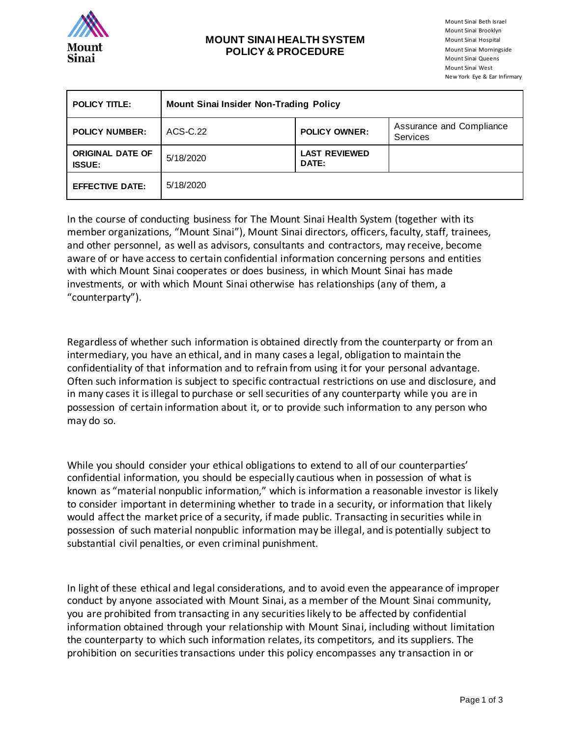

## **MOUNT SINAI HEALTH SYSTEM POLICY & PROCEDURE**

Mount Sinai Beth Israel Mount Sinai Brooklyn Mount Sinai Hospital Mount Sinai Morningside Mount Sinai Queens Mount Sinai West New York Eye & Ear Infirmary

| <b>POLICY TITLE:</b>                     | <b>Mount Sinai Insider Non-Trading Policy</b> |                               |                                             |
|------------------------------------------|-----------------------------------------------|-------------------------------|---------------------------------------------|
| <b>POLICY NUMBER:</b>                    | ACS-C.22                                      | <b>POLICY OWNER:</b>          | Assurance and Compliance<br><b>Services</b> |
| <b>ORIGINAL DATE OF</b><br><b>ISSUE:</b> | 5/18/2020                                     | <b>LAST REVIEWED</b><br>DATE: |                                             |
| <b>EFFECTIVE DATE:</b>                   | 5/18/2020                                     |                               |                                             |

In the course of conducting business for The Mount Sinai Health System (together with its member organizations, "Mount Sinai"), Mount Sinai directors, officers, faculty, staff, trainees, and other personnel, as well as advisors, consultants and contractors, may receive, become aware of or have access to certain confidential information concerning persons and entities with which Mount Sinai cooperates or does business, in which Mount Sinai has made investments, or with which Mount Sinai otherwise has relationships (any of them, a "counterparty").

Regardless of whether such information is obtained directly from the counterparty or from an intermediary, you have an ethical, and in many cases a legal, obligation to maintain the confidentiality of that information and to refrain from using it for your personal advantage. Often such information is subject to specific contractual restrictions on use and disclosure, and in many cases it is illegal to purchase or sell securities of any counterparty while you are in possession of certain information about it, or to provide such information to any person who may do so.

While you should consider your ethical obligations to extend to all of our counterparties' confidential information, you should be especially cautious when in possession of what is known as "material nonpublic information," which is information a reasonable investor is likely to consider important in determining whether to trade in a security, or information that likely would affect the market price of a security, if made public. Transacting in securities while in possession of such material nonpublic information may be illegal, and is potentially subject to substantial civil penalties, or even criminal punishment.

In light of these ethical and legal considerations, and to avoid even the appearance of improper conduct by anyone associated with Mount Sinai, as a member of the Mount Sinai community, you are prohibited from transacting in any securities likely to be affected by confidential information obtained through your relationship with Mount Sinai, including without limitation the counterparty to which such information relates, its competitors, and its suppliers. The prohibition on securities transactions under this policy encompasses any transaction in or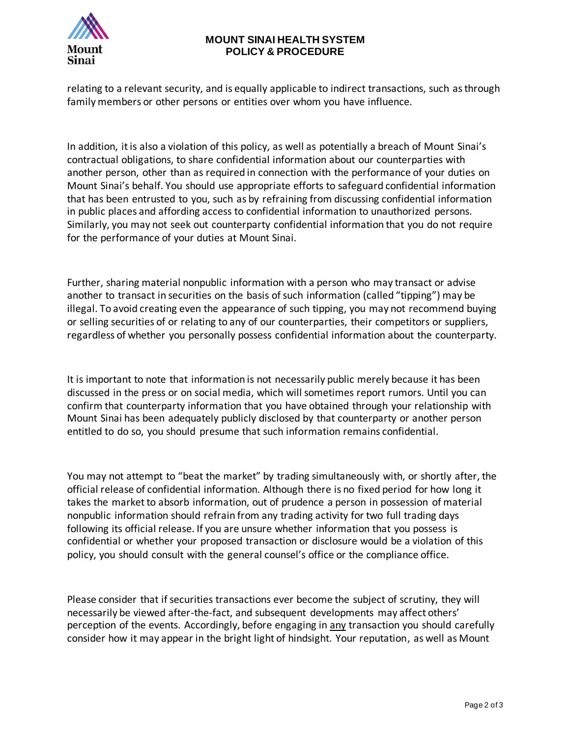

## **MOUNT SINAI HEALTH SYSTEM POLICY & PROCEDURE**

relating to a relevant security, and is equally applicable to indirect transactions, such as through family members or other persons or entities over whom you have influence.

In addition, it is also a violation of this policy, as well as potentially a breach of Mount Sinai's contractual obligations, to share confidential information about our counterparties with another person, other than as required in connection with the performance of your duties on Mount Sinai's behalf. You should use appropriate efforts to safeguard confidential information that has been entrusted to you, such as by refraining from discussing confidential information in public places and affording access to confidential information to unauthorized persons. Similarly, you may not seek out counterparty confidential information that you do not require for the performance of your duties at Mount Sinai.

Further, sharing material nonpublic information with a person who may transact or advise another to transact in securities on the basis of such information (called "tipping") may be illegal. To avoid creating even the appearance of such tipping, you may not recommend buying or selling securities of or relating to any of our counterparties, their competitors or suppliers, regardless of whether you personally possess confidential information about the counterparty.

It is important to note that information is not necessarily public merely because it has been discussed in the press or on social media, which will sometimes report rumors. Until you can confirm that counterparty information that you have obtained through your relationship with Mount Sinai has been adequately publicly disclosed by that counterparty or another person entitled to do so, you should presume that such information remains confidential.

You may not attempt to "beat the market" by trading simultaneously with, or shortly after, the official release of confidential information. Although there is no fixed period for how long it takes the market to absorb information, out of prudence a person in possession of material nonpublic information should refrain from any trading activity for two full trading days following its official release. If you are unsure whether information that you possess is confidential or whether your proposed transaction or disclosure would be a violation of this policy, you should consult with the general counsel's office or the compliance office.

Please consider that if securities transactions ever become the subject of scrutiny, they will necessarily be viewed after-the-fact, and subsequent developments may affect others' perception of the events. Accordingly, before engaging in any transaction you should carefully consider how it may appear in the bright light of hindsight. Your reputation, as well as Mount